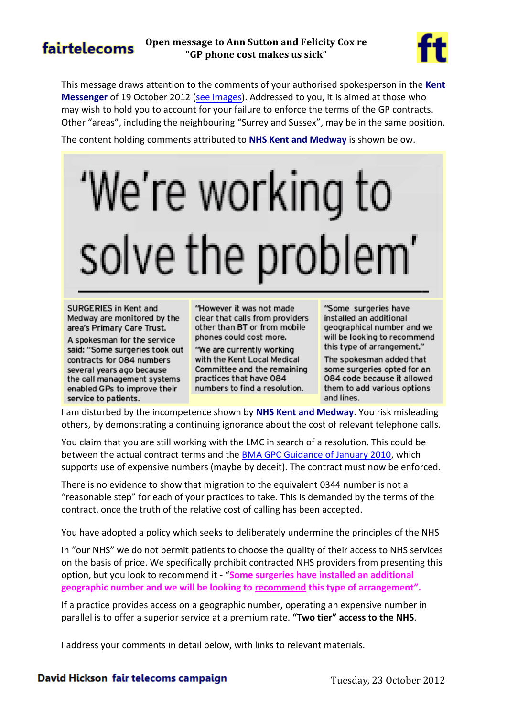# fairtelecoms

#### **Open message to Ann Sutton and Felicity Cox re "GP phone cost makes us sick"**



This message draws attention to the comments of your authorised spokesperson in the **Kent Messenger** of 19 October 2012 [\(see images\)](http://tiny.cc/KMSick). Addressed to you, it is aimed at those who may wish to hold you to account for your failure to enforce the terms of the GP contracts. Other "areas", including the neighbouring "Surrey and Sussex", may be in the same position.

The content holding comments attributed to **NHS Kent and Medway** is shown below.

# 'We're working to solve the problem'

SURGERIES in Kent and Medway are monitored by the area's Primary Care Trust.

A spokesman for the service said: "Some surgeries took out contracts for 084 numbers several vears ago because the call management systems enabled GPs to improve their service to patients.

"However it was not made clear that calls from providers other than BT or from mobile phones could cost more.

"We are currently working with the Kent Local Medical Committee and the remaining practices that have 084 numbers to find a resolution.

"Some surgeries have installed an additional geographical number and we will be looking to recommend this type of arrangement."

The spokesman added that some surgeries opted for an 084 code because it allowed them to add various options and lines.

I am disturbed by the incompetence shown by **NHS Kent and Medway**. You risk misleading others, by demonstrating a continuing ignorance about the cost of relevant telephone calls.

You claim that you are still working with the LMC in search of a resolution. This could be between the actual contract terms and the [BMA GPC Guidance of January 2010,](http://www.lmc.org.uk/visageimages/guidance/2010/084numbersguidanceandfaqs080110.pdf) which supports use of expensive numbers (maybe by deceit). The contract must now be enforced.

There is no evidence to show that migration to the equivalent 0344 number is not a "reasonable step" for each of your practices to take. This is demanded by the terms of the contract, once the truth of the relative cost of calling has been accepted.

You have adopted a policy which seeks to deliberately undermine the principles of the NHS

In "our NHS" we do not permit patients to choose the quality of their access to NHS services on the basis of price. We specifically prohibit contracted NHS providers from presenting this option, but you look to recommend it - "**Some surgeries have installed an additional geographic number and we will be looking to recommend this type of arrangement".**

If a practice provides access on a geographic number, operating an expensive number in parallel is to offer a superior service at a premium rate. **"Two tier" access to the NHS**.

I address your comments in detail below, with links to relevant materials.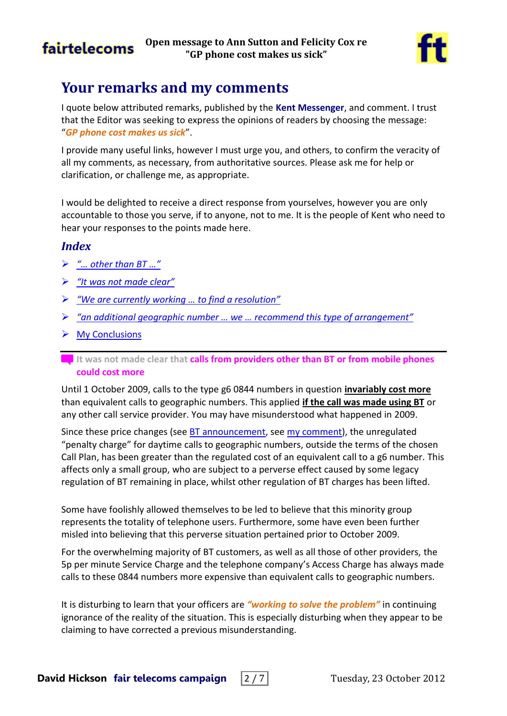



## **Your remarks and my comments**

I quote below attributed remarks, published by the **Kent Messenger**, and comment. I trust that the Editor was seeking to express the opinions of readers by choosing the message: "*GP phone cost makes us sick*".

I provide many useful links, however I must urge you, and others, to confirm the veracity of all my comments, as necessary, from authoritative sources. Please ask me for help or clarification, or challenge me, as appropriate.

I would be delighted to receive a direct response from yourselves, however you are only accountable to those you serve, if to anyone, not to me. It is the people of Kent who need to hear your responses to the points made here.

#### *Index*

- *["… other than BT …"](#page-1-0)*
- *["It was not made clear"](#page-2-0)*
- *"We are currently working [… to find a resolution"](#page-3-0)*
- *["an additional geographic number … we … recommend this type of arrangement"](#page-4-0)*
- $\triangleright$  [My Conclusions](#page-5-0)

Until 1 October 2009, calls to the type g6 0844 numbers in question **invariably cost more** than equivalent calls to geographic numbers. This applied **if the call was made using BT** or any other call service provider. You may have misunderstood what happened in 2009.

Since these price changes (see [BT announcement,](http://www.productsandservices.bt.com/consumer/consumerProducts/pdf/sept_btUpdate_phoneCust.pdf#page=6) see [my comment\)](http://nhspatient.blogspot.co.uk/2009/08/bt-charges-may-vary-from-others.html#0844_091001), the unregulated "penalty charge" for daytime calls to geographic numbers, outside the terms of the chosen Call Plan, has been greater than the regulated cost of an equivalent call to a g6 number. This affects only a small group, who are subject to a perverse effect caused by some legacy regulation of BT remaining in place, whilst other regulation of BT charges has been lifted.

Some have foolishly allowed themselves to be led to believe that this minority group represents the totality of telephone users. Furthermore, some have even been further misled into believing that this perverse situation pertained prior to October 2009.

For the overwhelming majority of BT customers, as well as all those of other providers, the 5p per minute Service Charge and the telephone company's Access Charge has always made calls to these 0844 numbers more expensive than equivalent calls to geographic numbers.

It is disturbing to learn that your officers are *"working to solve the problem"* in continuing ignorance of the reality of the situation. This is especially disturbing when they appear to be claiming to have corrected a previous misunderstanding.

<span id="page-1-0"></span>It was not made clear that **calls from providers other than BT or from mobile phones could cost more**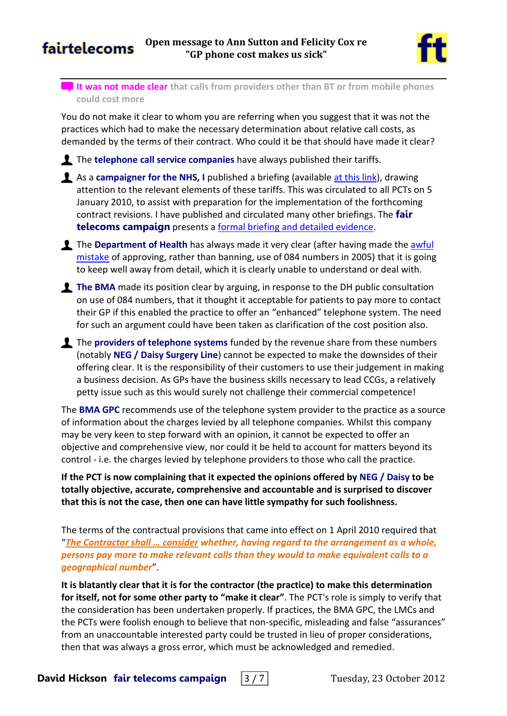



<span id="page-2-0"></span>**It was not made clear that calls from providers other than BT or from mobile phones could cost more**

You do not make it clear to whom you are referring when you suggest that it was not the practices which had to make the necessary determination about relative call costs, as demanded by the terms of their contract. Who could it be that should have made it clear?

The **telephone call service companies** have always published their tariffs.

- As a **campaigner for the NHS, I** published a briefing (available [at this link\)](http://davidhicksonmedia.blogspot.co.uk/2010/01/use-of-revenue-sharing-084x-telephone.html), drawing attention to the relevant elements of these tariffs. This was circulated to all PCTs on 5 January 2010, to assist with preparation for the implementation of the forthcoming contract revisions. I have published and circulated many other briefings. The **fair telecoms campaign** presents a [formal briefing and detailed evidence.](http://www.fairtelecoms.org.uk/nhs-084-numbers---evidence-of-call-charges.html)
- The Department of Health has always made it very clear (after having made the awful [mistake](http://www.wired-gov.net/wg/wg-news-1.nsf/0/5F9339514E980EC0802572AB004BAD9F) of approving, rather than banning, use of 084 numbers in 2005) that it is going to keep well away from detail, which it is clearly unable to understand or deal with.
- **The BMA** made its position clear by arguing, in response to the DH public consultation on use of 084 numbers, that it thought it acceptable for patients to pay more to contact their GP if this enabled the practice to offer an "enhanced" telephone system. The need for such an argument could have been taken as clarification of the cost position also.
- The **providers of telephone systems** funded by the revenue share from these numbers (notably **NEG / Daisy Surgery Line**) cannot be expected to make the downsides of their offering clear. It is the responsibility of their customers to use their judgement in making a business decision. As GPs have the business skills necessary to lead CCGs, a relatively petty issue such as this would surely not challenge their commercial competence!

The **BMA GPC** recommends use of the telephone system provider to the practice as a source of information about the charges levied by all telephone companies. Whilst this company may be very keen to step forward with an opinion, it cannot be expected to offer an objective and comprehensive view, nor could it be held to account for matters beyond its control - i.e. the charges levied by telephone providers to those who call the practice.

**If the PCT is now complaining that it expected the opinions offered by NEG / Daisy to be totally objective, accurate, comprehensive and accountable and is surprised to discover that this is not the case, then one can have little sympathy for such foolishness.**

The terms of the contractual provisions that came into effect on 1 April 2010 required that "*The Contractor shall … consider whether, having regard to the arrangement as a whole, persons pay more to make relevant calls than they would to make equivalent calls to a geographical number*".

**It is blatantly clear that it is for the contractor (the practice) to make this determination for itself, not for some other party to "make it clear"**. The PCT's role is simply to verify that the consideration has been undertaken properly. If practices, the BMA GPC, the LMCs and the PCTs were foolish enough to believe that non-specific, misleading and false "assurances" from an unaccountable interested party could be trusted in lieu of proper considerations, then that was always a gross error, which must be acknowledged and remedied.

**David Hickson fair telecoms campaign** | 3 / 7 | Tuesday, 23 October 2012

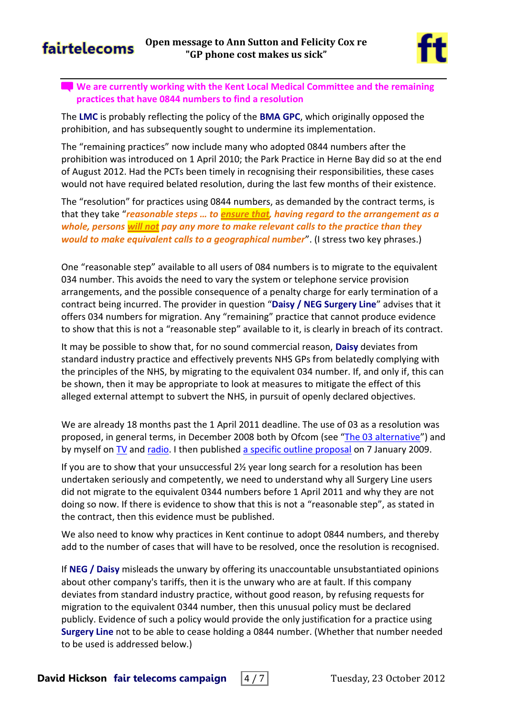## fairtelecoms



#### <span id="page-3-0"></span>**We are currently working with the Kent Local Medical Committee and the remaining practices that have 0844 numbers to find a resolution**

The **LMC** is probably reflecting the policy of the **BMA GPC**, which originally opposed the prohibition, and has subsequently sought to undermine its implementation.

The "remaining practices" now include many who adopted 0844 numbers after the prohibition was introduced on 1 April 2010; the Park Practice in Herne Bay did so at the end of August 2012. Had the PCTs been timely in recognising their responsibilities, these cases would not have required belated resolution, during the last few months of their existence.

The "resolution" for practices using 0844 numbers, as demanded by the contract terms, is that they take "*reasonable steps … to ensure that, having regard to the arrangement as a whole, persons will not pay any more to make relevant calls to the practice than they would to make equivalent calls to a geographical number*". (I stress two key phrases.)

One "reasonable step" available to all users of 084 numbers is to migrate to the equivalent 034 number. This avoids the need to vary the system or telephone service provision arrangements, and the possible consequence of a penalty charge for early termination of a contract being incurred. The provider in question "**Daisy / NEG Surgery Line**" advises that it offers 034 numbers for migration. Any "remaining" practice that cannot produce evidence to show that this is not a "reasonable step" available to it, is clearly in breach of its contract.

It may be possible to show that, for no sound commercial reason, **Daisy** deviates from standard industry practice and effectively prevents NHS GPs from belatedly complying with the principles of the NHS, by migrating to the equivalent 034 number. If, and only if, this can be shown, then it may be appropriate to look at measures to mitigate the effect of this alleged external attempt to subvert the NHS, in pursuit of openly declared objectives.

We are already 18 months past the 1 April 2011 deadline. The use of 03 as a resolution was proposed, in general terms, in December 2008 both by Ofcom (see "[The 03 alternative](http://consumers.ofcom.org.uk/2008/12/the-03-alternative/)") and by myself on [TV](http://tinyurl.com/dhtiny/tele?28) and [radio.](http://tinyurl.com/dhtiny/radio?33) I then published [a specific outline proposal](http://homepage.ntlworld.com/davidhickson/NHS.Patient/Surgery%20Line%20Solution.pdf) on 7 January 2009.

If you are to show that your unsuccessful 2½ year long search for a resolution has been undertaken seriously and competently, we need to understand why all Surgery Line users did not migrate to the equivalent 0344 numbers before 1 April 2011 and why they are not doing so now. If there is evidence to show that this is not a "reasonable step", as stated in the contract, then this evidence must be published.

We also need to know why practices in Kent continue to adopt 0844 numbers, and thereby add to the number of cases that will have to be resolved, once the resolution is recognised.

If **NEG / Daisy** misleads the unwary by offering its unaccountable unsubstantiated opinions about other company's tariffs, then it is the unwary who are at fault. If this company deviates from standard industry practice, without good reason, by refusing requests for migration to the equivalent 0344 number, then this unusual policy must be declared publicly. Evidence of such a policy would provide the only justification for a practice using **Surgery Line** not to be able to cease holding a 0844 number. (Whether that number needed to be used is addressed below.)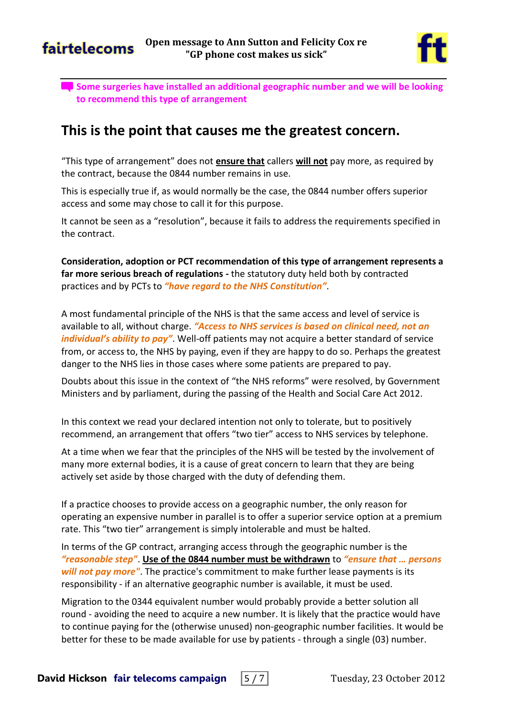



<span id="page-4-0"></span>**Some surgeries have installed an additional geographic number and we will be looking to recommend this type of arrangement**

## **This is the point that causes me the greatest concern.**

"This type of arrangement" does not **ensure that** callers **will not** pay more, as required by the contract, because the 0844 number remains in use.

This is especially true if, as would normally be the case, the 0844 number offers superior access and some may chose to call it for this purpose.

It cannot be seen as a "resolution", because it fails to address the requirements specified in the contract.

**Consideration, adoption or PCT recommendation of this type of arrangement represents a far more serious breach of regulations -** the statutory duty held both by contracted practices and by PCTs to *"have regard to the NHS Constitution"*.

A most fundamental principle of the NHS is that the same access and level of service is available to all, without charge. *"Access to NHS services is based on clinical need, not an individual's ability to pay"*. Well-off patients may not acquire a better standard of service from, or access to, the NHS by paying, even if they are happy to do so. Perhaps the greatest danger to the NHS lies in those cases where some patients are prepared to pay.

Doubts about this issue in the context of "the NHS reforms" were resolved, by Government Ministers and by parliament, during the passing of the Health and Social Care Act 2012.

In this context we read your declared intention not only to tolerate, but to positively recommend, an arrangement that offers "two tier" access to NHS services by telephone.

At a time when we fear that the principles of the NHS will be tested by the involvement of many more external bodies, it is a cause of great concern to learn that they are being actively set aside by those charged with the duty of defending them.

If a practice chooses to provide access on a geographic number, the only reason for operating an expensive number in parallel is to offer a superior service option at a premium rate. This "two tier" arrangement is simply intolerable and must be halted.

In terms of the GP contract, arranging access through the geographic number is the *"reasonable step"*. **Use of the 0844 number must be withdrawn** to *"ensure that … persons will not pay more"*. The practice's commitment to make further lease payments is its responsibility - if an alternative geographic number is available, it must be used.

Migration to the 0344 equivalent number would probably provide a better solution all round - avoiding the need to acquire a new number. It is likely that the practice would have to continue paying for the (otherwise unused) non-geographic number facilities. It would be better for these to be made available for use by patients - through a single (03) number.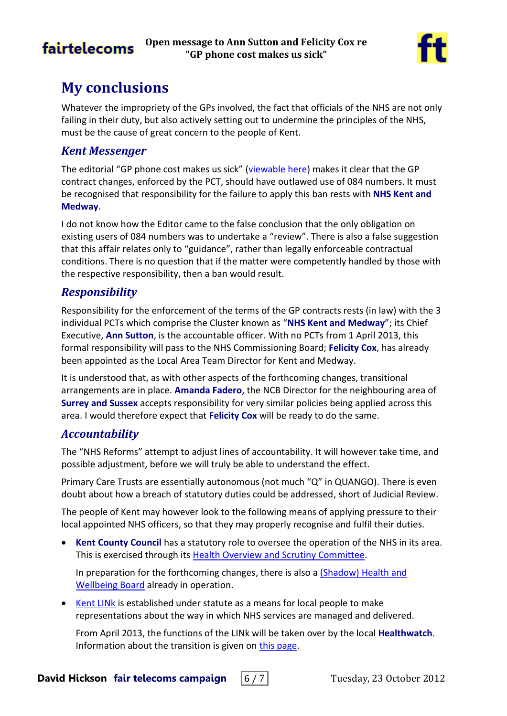# **fairtelecoms**



# <span id="page-5-0"></span>**My conclusions**

Whatever the impropriety of the GPs involved, the fact that officials of the NHS are not only failing in their duty, but also actively setting out to undermine the principles of the NHS, must be the cause of great concern to the people of Kent.

### *Kent Messenger*

The editorial "GP phone cost makes us sick" [\(viewable here\)](http://tiny.cc/KMSick) makes it clear that the GP contract changes, enforced by the PCT, should have outlawed use of 084 numbers. It must be recognised that responsibility for the failure to apply this ban rests with **NHS Kent and Medway**.

I do not know how the Editor came to the false conclusion that the only obligation on existing users of 084 numbers was to undertake a "review". There is also a false suggestion that this affair relates only to "guidance", rather than legally enforceable contractual conditions. There is no question that if the matter were competently handled by those with the respective responsibility, then a ban would result.

## *Responsibility*

Responsibility for the enforcement of the terms of the GP contracts rests (in law) with the 3 individual PCTs which comprise the Cluster known as "**NHS Kent and Medway**"; its Chief Executive, **Ann Sutton**, is the accountable officer. With no PCTs from 1 April 2013, this formal responsibility will pass to the NHS Commissioning Board; **Felicity Cox**, has already been appointed as the Local Area Team Director for Kent and Medway.

It is understood that, as with other aspects of the forthcoming changes, transitional arrangements are in place. **Amanda Fadero**, the NCB Director for the neighbouring area of **Surrey and Sussex** accepts responsibility for very similar policies being applied across this area. I would therefore expect that **Felicity Cox** will be ready to do the same.

## *Accountability*

The "NHS Reforms" attempt to adjust lines of accountability. It will however take time, and possible adjustment, before we will truly be able to understand the effect.

Primary Care Trusts are essentially autonomous (not much "Q" in QUANGO). There is even doubt about how a breach of statutory duties could be addressed, short of Judicial Review.

The people of Kent may however look to the following means of applying pressure to their local appointed NHS officers, so that they may properly recognise and fulfil their duties.

 **Kent County Council** has a statutory role to oversee the operation of the NHS in its area. This is exercised through its [Health Overview and Scrutiny Committee.](https://democracy.kent.gov.uk/mgCommitteeDetails.aspx?ID=112)

In preparation for the forthcoming changes, there is also a (Shadow) [Health and](https://democracy.kent.gov.uk/mgCommitteeDetails.aspx?ID=706)  [Wellbeing Board](https://democracy.kent.gov.uk/mgCommitteeDetails.aspx?ID=706) already in operation.

 [Kent LINk](http://www.thekentlink.co.uk/) is established under statute as a means for local people to make representations about the way in which NHS services are managed and delivered.

From April 2013, the functions of the LINk will be taken over by the local **Healthwatch**. Information about the transition is given on [this page.](http://www.thekentlink.co.uk/Healthwatch.html)